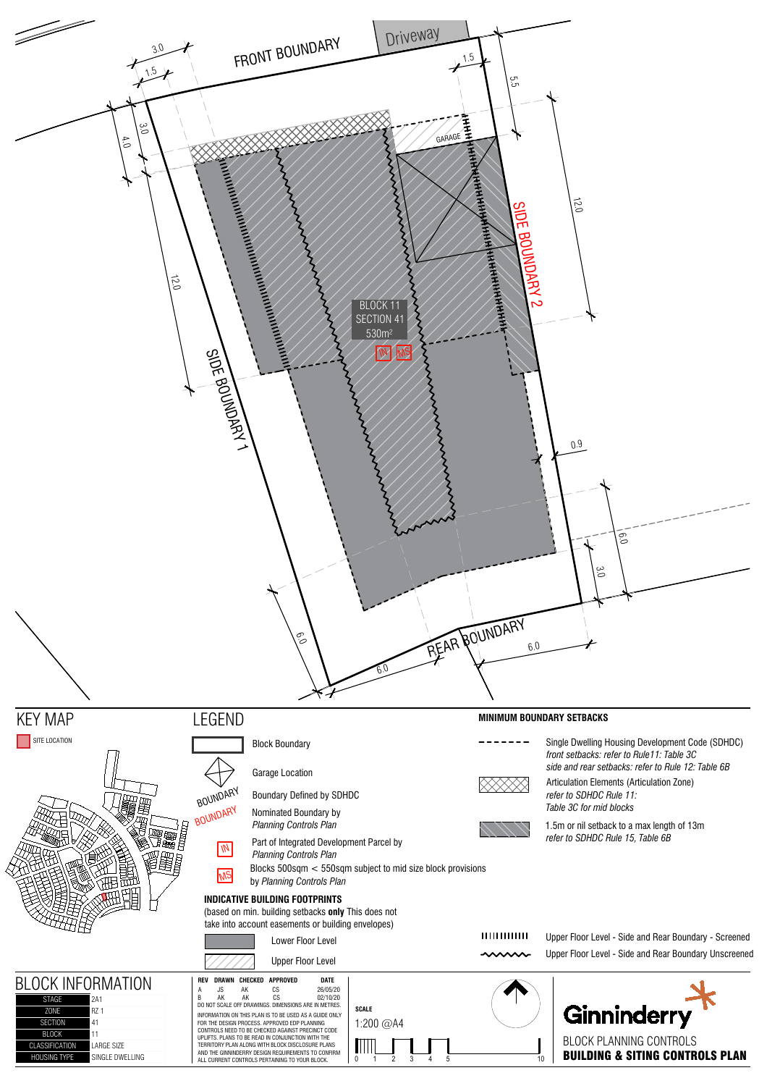